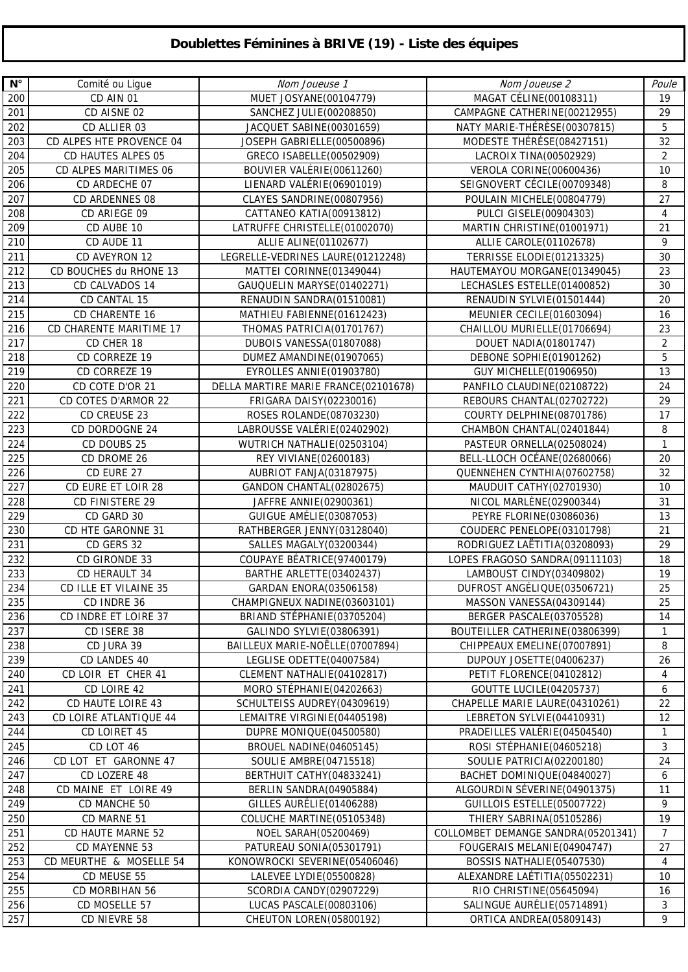## **Doublettes Féminines à BRIVE (19) - Liste des équipes**

| $\mathsf{N}^\circ$ | Comité ou Ligue           | Nom Joueuse 1                        | Nom Joueuse 2                      | Poule          |
|--------------------|---------------------------|--------------------------------------|------------------------------------|----------------|
| 200                | CD AIN 01                 | MUET JOSYANE(00104779)               | MAGAT CÉLINE(00108311)             | 19             |
| 201                | CD AISNE 02               | SANCHEZ JULIE(00208850)              | CAMPAGNE CATHERINE(00212955)       | 29             |
| 202                | CD ALLIER 03              | JACQUET SABINE(00301659)             | NATY MARIE-THÉRÈSE(00307815)       | 5              |
| 203                | CD ALPES HTE PROVENCE 04  | JOSEPH GABRIELLE(00500896)           | MODESTE THÉRÉSE(08427151)          | 32             |
| 204                | <b>CD HAUTES ALPES 05</b> | GRECO ISABELLE(00502909)             | LACROIX TINA(00502929)             | $\overline{2}$ |
|                    |                           |                                      |                                    | 10             |
| 205                | CD ALPES MARITIMES 06     | BOUVIER VALÉRIE(00611260)            | VEROLA CORINE(00600436)            |                |
| 206                | CD ARDECHE 07             | LIENARD VALÉRIE(06901019)            | SEIGNOVERT CÉCILE (00709348)       | 8              |
| 207                | CD ARDENNES 08            | CLAYES SANDRINE(00807956)            | POULAIN MICHELE(00804779)          | 27             |
| 208                | CD ARIEGE 09              | CATTANEO KATIA(00913812)             | PULCI GISELE(00904303)             | 4              |
| 209                | CD AUBE 10                | LATRUFFE CHRISTELLE(01002070)        | MARTIN CHRISTINE(01001971)         | 21             |
| 210                | CD AUDE 11                | ALLIE ALINE(01102677)                | ALLIE CAROLE(01102678)             | 9              |
| 211                | CD AVEYRON 12             | LEGRELLE-VEDRINES LAURE(01212248)    | TERRISSE ELODIE(01213325)          | 30             |
| 212                | CD BOUCHES du RHONE 13    | MATTEI CORINNE(01349044)             | HAUTEMAYOU MORGANE(01349045)       | 23             |
| 213                | CD CALVADOS 14            | GAUQUELIN MARYSE(01402271)           | LECHASLES ESTELLE(01400852)        | 30             |
| 214                | CD CANTAL 15              | RENAUDIN SANDRA(01510081)            | RENAUDIN SYLVIE(01501444)          | 20             |
| 215                | <b>CD CHARENTE 16</b>     | MATHIEU FABIENNE(01612423)           | MEUNIER CECILE (01603094)          | 16             |
| 216                | CD CHARENTE MARITIME 17   | THOMAS PATRICIA(01701767)            | CHAILLOU MURIELLE (01706694)       | 23             |
| 217                | CD CHER 18                | DUBOIS VANESSA(01807088)             | <b>DOUET NADIA(01801747)</b>       | $\overline{2}$ |
| 218                | CD CORREZE 19             | DUMEZ AMANDINE(01907065)             | DEBONE SOPHIE(01901262)            | 5              |
| 219                | CD CORREZE 19             | EYROLLES ANNIE(01903780)             | <b>GUY MICHELLE (01906950)</b>     | 13             |
| 220                | CD COTE D'OR 21           | DELLA MARTIRE MARIE FRANCE(02101678) | PANFILO CLAUDINE(02108722)         | 24             |
| 221                | CD COTES D'ARMOR 22       | FRIGARA DAISY (02230016)             | REBOURS CHANTAL(02702722)          | 29             |
| 222                | CD CREUSE 23              | ROSES ROLANDE(08703230)              | COURTY DELPHINE (08701786)         | 17             |
| 223                | CD DORDOGNE 24            | LABROUSSE VALÉRIE (02402902)         | CHAMBON CHANTAL(02401844)          | 8              |
| 224                | CD DOUBS 25               | WUTRICH NATHALIE(02503104)           | PASTEUR ORNELLA(02508024)          | $\mathbf{1}$   |
| 225                | CD DROME 26               | REY VIVIANE(02600183)                | BELL-LLOCH OCÉANE(02680066)        | 20             |
|                    |                           |                                      |                                    | 32             |
| 226                | CD EURE 27                | AUBRIOT FANJA(03187975)              | QUENNEHEN CYNTHIA(07602758)        |                |
| 227                | CD EURE ET LOIR 28        | GANDON CHANTAL(02802675)             | MAUDUIT CATHY (02701930)           | 10             |
| 228                | CD FINISTERE 29           | JAFFRE ANNIE(02900361)               | NICOL MARLÈNE(02900344)            | 31             |
| 229                | CD GARD 30                | GUIGUE AMÉLIE(03087053)              | PEYRE FLORINE(03086036)            | 13             |
| 230                | CD HTE GARONNE 31         | RATHBERGER JENNY(03128040)           | COUDERC PENELOPE(03101798)         | 21             |
| 231                | CD GERS 32                | SALLES MAGALY(03200344)              | RODRIGUEZ LAËTITIA(03208093)       | 29             |
| 232                | CD GIRONDE 33             | COUPAYE BÉATRICE(97400179)           | LOPES FRAGOSO SANDRA(09111103)     | 18             |
| 233                | CD HERAULT 34             | BARTHE ARLETTE(03402437)             | LAMBOUST CINDY (03409802)          | 19             |
| 234                | CD ILLE ET VILAINE 35     | GARDAN ENORA(03506158)               | DUFROST ANGÉLIQUE(03506721)        | 25             |
| 235                | CD INDRE 36               | CHAMPIGNEUX NADINE(03603101)         | MASSON VANESSA(04309144)           | 25             |
| 236                | CD INDRE ET LOIRE 37      | BRIAND STÉPHANIE(03705204)           | BERGER PASCALE(03705528)           | 14             |
| 237                | CD ISERE 38               | GALINDO SYLVIE(03806391)             | BOUTEILLER CATHERINE(03806399)     | $\mathbf{1}$   |
| 238                | CD JURA 39                | BAILLEUX MARIE-NOËLLE(07007894)      | CHIPPEAUX EMELINE(07007891)        | 8              |
| 239                | CD LANDES 40              | LEGLISE ODETTE(04007584)             | DUPOUY JOSETTE (04006237)          | 26             |
| 240                | CD LOIR ET CHER 41        | CLEMENT NATHALIE(04102817)           | PETIT FLORENCE(04102812)           | 4              |
| 241                | CD LOIRE 42               | MORO STÉPHANIE (04202663)            | <b>GOUTTE LUCILE (04205737)</b>    | 6              |
| 242                | CD HAUTE LOIRE 43         | SCHULTEISS AUDREY(04309619)          | CHAPELLE MARIE LAURE(04310261)     | 22             |
| 243                | CD LOIRE ATLANTIQUE 44    | LEMAITRE VIRGINIE(04405198)          | LEBRETON SYLVIE(04410931)          | 12             |
| 244                | CD LOIRET 45              | DUPRE MONIQUE(04500580)              | PRADEILLES VALÉRIE(04504540)       | $\mathbf{1}$   |
| 245                | CD LOT 46                 | BROUEL NADINE (04605145)             | ROSI STÉPHANIE (04605218)          | $\sqrt{3}$     |
| 246                | CD LOT ET GARONNE 47      | SOULIE AMBRE(04715518)               | SOULIE PATRICIA(02200180)          | 24             |
| 247                | CD LOZERE 48              | BERTHUIT CATHY (04833241)            | BACHET DOMINIQUE(04840027)         | 6              |
| 248                | CD MAINE ET LOIRE 49      | BERLIN SANDRA(04905884)              | ALGOURDIN SÉVERINE (04901375)      | 11             |
| 249                | CD MANCHE 50              | GILLES AURÉLIE(01406288)             | GUILLOIS ESTELLE(05007722)         | 9              |
| 250                | CD MARNE 51               |                                      |                                    | 19             |
|                    |                           | COLUCHE MARTINE (05105348)           | THIERY SABRINA(05105286)           |                |
| 251                | CD HAUTE MARNE 52         | NOEL SARAH(05200469)                 | COLLOMBET DEMANGE SANDRA(05201341) | $\overline{7}$ |
| 252                | CD MAYENNE 53             | PATUREAU SONIA(05301791)             | FOUGERAIS MELANIE(04904747)        | 27             |
| 253                | CD MEURTHE & MOSELLE 54   | KONOWROCKI SEVERINE(05406046)        | BOSSIS NATHALIE (05407530)         | 4              |
| 254                | CD MEUSE 55               | LALEVEE LYDIE(05500828)              | ALEXANDRE LAÉTITIA(05502231)       | 10             |
| 255                | CD MORBIHAN 56            | SCORDIA CANDY (02907229)             | RIO CHRISTINE (05645094)           | 16             |
| 256                | CD MOSELLE 57             | LUCAS PASCALE(00803106)              | SALINGUE AURÉLIE(05714891)         | 3              |
| 257                | CD NIEVRE 58              | CHEUTON LOREN(05800192)              | ORTICA ANDREA(05809143)            | 9              |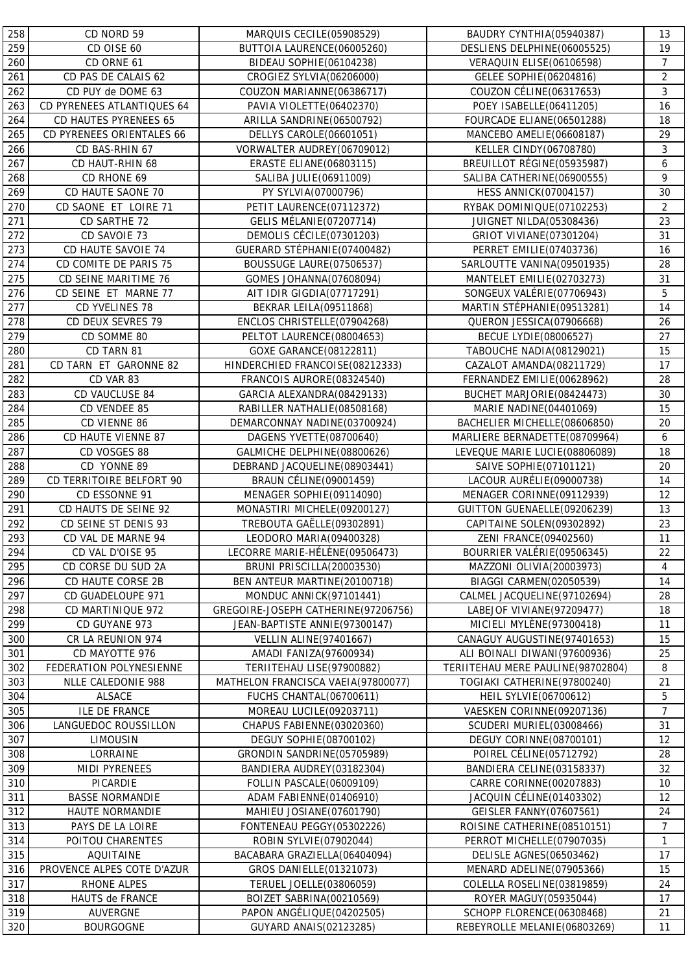| 258 | CD NORD 59                 | MARQUIS CECILE(05908529)            | BAUDRY CYNTHIA(05940387)          | 13                 |
|-----|----------------------------|-------------------------------------|-----------------------------------|--------------------|
| 259 | CD OISE 60                 | BUTTOIA LAURENCE(06005260)          | DESLIENS DELPHINE(06005525)       | 19                 |
| 260 | CD ORNE 61                 | BIDEAU SOPHIE(06104238)             | VERAQUIN ELISE(06106598)          | $\overline{7}$     |
| 261 | CD PAS DE CALAIS 62        | CROGIEZ SYLVIA(06206000)            | GELEE SOPHIE(06204816)            | $\overline{2}$     |
| 262 | CD PUY de DOME 63          | COUZON MARIANNE(06386717)           | COUZON CÉLINE(06317653)           | 3                  |
| 263 | CD PYRENEES ATLANTIQUES 64 | PAVIA VIOLETTE(06402370)            | POEY ISABELLE(06411205)           | 16                 |
| 264 | CD HAUTES PYRENEES 65      | ARILLA SANDRINE(06500792)           | FOURCADE ELIANE(06501288)         | 18                 |
| 265 | CD PYRENEES ORIENTALES 66  | DELLYS CAROLE(06601051)             | MANCEBO AMELIE(06608187)          | 29                 |
| 266 | CD BAS-RHIN 67             | VORWALTER AUDREY(06709012)          | <b>KELLER CINDY(06708780)</b>     | 3                  |
| 267 | CD HAUT-RHIN 68            | <b>ERASTE ELIANE(06803115)</b>      | BREUILLOT RÉGINE (05935987)       | 6                  |
| 268 | CD RHONE 69                | SALIBA JULIE(06911009)              | SALIBA CATHERINE (06900555)       | 9                  |
| 269 | CD HAUTE SAONE 70          | PY SYLVIA(07000796)                 | <b>HESS ANNICK(07004157)</b>      | 30                 |
| 270 | CD SAONE ET LOIRE 71       | PETIT LAURENCE(07112372)            | RYBAK DOMINIQUE(07102253)         | $\overline{2}$     |
| 271 | CD SARTHE 72               | <b>GELIS MÉLANIE (07207714)</b>     | JUIGNET NILDA(05308436)           | 23                 |
| 272 | CD SAVOIE 73               | DEMOLIS CÉCILE (07301203)           | GRIOT VIVIANE (07301204)          | 31                 |
| 273 | CD HAUTE SAVOIE 74         | GUERARD STÉPHANIE(07400482)         | PERRET EMILIE(07403736)           | 16                 |
|     |                            |                                     |                                   |                    |
| 274 | CD COMITE DE PARIS 75      | BOUSSUGE LAURE(07506537)            | SARLOUTTE VANINA(09501935)        | 28                 |
| 275 | CD SEINE MARITIME 76       | GOMES JOHANNA(07608094)             | MANTELET EMILIE(02703273)         | 31                 |
| 276 | CD SEINE ET MARNE 77       | AIT IDIR GIGDIA(07717291)           | SONGEUX VALÉRIE (07706943)        | 5                  |
| 277 | CD YVELINES 78             | <b>BEKRAR LEILA(09511868)</b>       | MARTIN STÉPHANIE (09513281)       | 14                 |
| 278 | CD DEUX SEVRES 79          | ENCLOS CHRISTELLE(07904268)         | QUERON JESSICA(07906668)          | 26                 |
| 279 | CD SOMME 80                | PELTOT LAURENCE(08004653)           | <b>BECUE LYDIE(08006527)</b>      | 27                 |
| 280 | CD TARN 81                 | GOXE GARANCE(08122811)              | TABOUCHE NADIA(08129021)          | 15                 |
| 281 | CD TARN ET GARONNE 82      | HINDERCHIED FRANCOISE(08212333)     | CAZALOT AMANDA(08211729)          | 17                 |
| 282 | CD VAR 83                  | FRANCOIS AURORE(08324540)           | FERNANDEZ EMILIE(00628962)        | 28                 |
| 283 | CD VAUCLUSE 84             | GARCIA ALEXANDRA(08429133)          | BUCHET MARJORIE (08424473)        | 30                 |
| 284 | CD VENDEE 85               | RABILLER NATHALIE(08508168)         | MARIE NADINE(04401069)            | 15                 |
| 285 | CD VIENNE 86               | DEMARCONNAY NADINE(03700924)        | BACHELIER MICHELLE(08606850)      | 20                 |
| 286 | CD HAUTE VIENNE 87         | DAGENS YVETTE (08700640)            | MARLIERE BERNADETTE(08709964)     | 6                  |
| 287 | CD VOSGES 88               | GALMICHE DELPHINE(08800626)         | LEVEQUE MARIE LUCIE(08806089)     | 18                 |
| 288 | CD YONNE 89                | DEBRAND JACQUELINE (08903441)       | SAIVE SOPHIE(07101121)            | 20                 |
| 289 | CD TERRITOIRE BELFORT 90   | <b>BRAUN CÉLINE (09001459)</b>      | LACOUR AURÉLIE (09000738)         | 14                 |
| 290 | CD ESSONNE 91              | MENAGER SOPHIE(09114090)            | MENAGER CORINNE(09112939)         | 12                 |
| 291 | CD HAUTS DE SEINE 92       | MONASTIRI MICHELE(09200127)         | GUITTON GUENAELLE(09206239)       | 13                 |
| 292 | CD SEINE ST DENIS 93       | TREBOUTA GAËLLE(09302891)           | CAPITAINE SOLEN(09302892)         | 23                 |
| 293 | CD VAL DE MARNE 94         | LEODORO MARIA(09400328)             | ZENI FRANCE(09402560)             | 11                 |
| 294 | CD VAL D'OISE 95           | LECORRE MARIE-HÉLÈNE (09506473)     | BOURRIER VALÉRIE (09506345)       | 22                 |
| 295 | CD CORSE DU SUD 2A         | BRUNI PRISCILLA(20003530)           | MAZZONI OLIVIA(20003973)          | 4                  |
| 296 | CD HAUTE CORSE 2B          | BEN ANTEUR MARTINE(20100718)        | BIAGGI CARMEN(02050539)           | 14                 |
| 297 | CD GUADELOUPE 971          | MONDUC ANNICK(97101441)             | CALMEL JACQUELINE(97102694)       | 28                 |
| 298 | CD MARTINIQUE 972          | GREGOIRE-JOSEPH CATHERINE(97206756) | LABEJOF VIVIANE(97209477)         | 18                 |
| 299 | CD GUYANE 973              | JEAN-BAPTISTE ANNIE(97300147)       | MICIELI MYLÈNE(97300418)          | 11                 |
| 300 | CR LA REUNION 974          | <b>VELLIN ALINE(97401667)</b>       | CANAGUY AUGUSTINE(97401653)       | 15                 |
| 301 | CD MAYOTTE 976             | AMADI FANIZA(97600934)              | ALI BOINALI DIWANI(97600936)      | 25                 |
| 302 | FEDERATION POLYNESIENNE    | TERIITEHAU LISE(97900882)           | TERIITEHAU MERE PAULINE(98702804) | 8                  |
| 303 | NLLE CALEDONIE 988         | MATHELON FRANCISCA VAEIA(97800077)  | TOGIAKI CATHERINE(97800240)       | 21                 |
| 304 | ALSACE                     | <b>FUCHS CHANTAL(06700611)</b>      | <b>HEIL SYLVIE(06700612)</b>      | 5                  |
| 305 | <b>ILE DE FRANCE</b>       | MOREAU LUCILE(09203711)             | VAESKEN CORINNE(09207136)         | $\overline{7}$     |
| 306 | LANGUEDOC ROUSSILLON       | CHAPUS FABIENNE(03020360)           | SCUDERI MURIEL(03008466)          | 31                 |
| 307 | <b>LIMOUSIN</b>            | DEGUY SOPHIE(08700102)              | DEGUY CORINNE(08700101)           | 12                 |
| 308 | LORRAINE                   | GRONDIN SANDRINE(05705989)          | POIREL CÉLINE (05712792)          | 28                 |
| 309 | MIDI PYRENEES              | BANDIERA AUDREY(03182304)           | BANDIERA CELINE(03158337)         | 32                 |
| 310 | PICARDIE                   | FOLLIN PASCALE(06009109)            | CARRE CORINNE(00207883)           | 10                 |
| 311 | <b>BASSE NORMANDIE</b>     | ADAM FABIENNE(01406910)             | JACQUIN CÉLINE(01403302)          | 12                 |
| 312 | HAUTE NORMANDIE            | MAHIEU JOSIANE(07601790)            | <b>GEISLER FANNY (07607561)</b>   | 24                 |
| 313 | PAYS DE LA LOIRE           | FONTENEAU PEGGY(05302226)           | ROISINE CATHERINE(08510151)       | 7                  |
|     |                            |                                     |                                   |                    |
| 314 | POITOU CHARENTES           | ROBIN SYLVIE(07902044)              | PERROT MICHELLE (07907035)        | $\mathbf{1}$<br>17 |
| 315 | AQUITAINE                  | BACABARA GRAZIELLA(06404094)        | DELISLE AGNES(06503462)           |                    |
| 316 | PROVENCE ALPES COTE D'AZUR | GROS DANIELLE (01321073)            | MENARD ADELINE(07905366)          | 15                 |
| 317 | RHONE ALPES                | TERUEL JOELLE(03806059)             | COLELLA ROSELINE (03819859)       | 24                 |
| 318 | HAUTS de FRANCE            | BOIZET SABRINA(00210569)            | ROYER MAGUY(05935044)             | 17                 |
| 319 | AUVERGNE                   | PAPON ANGÉLIQUE(04202505)           | SCHOPP FLORENCE(06308468)         | 21                 |
| 320 | <b>BOURGOGNE</b>           | GUYARD ANAIS(02123285)              | REBEYROLLE MELANIE(06803269)      | 11                 |